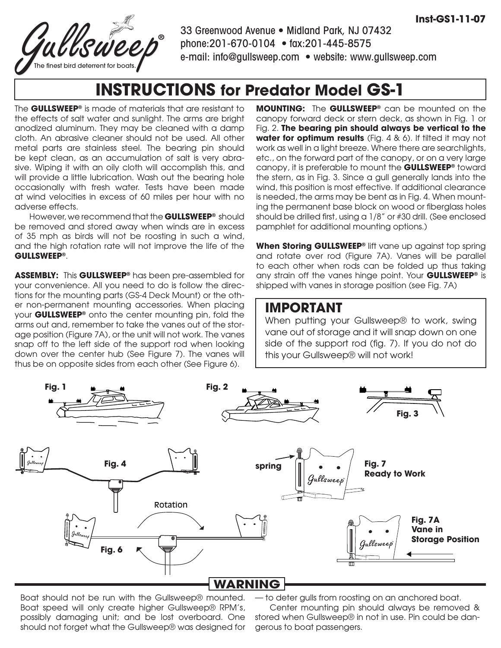

33 Greenwood Avenue • Midland Park, NJ 07432 phone:201-670-0104 • fax:201-445-8575 e-mail: info@gullsweep.com • website: www.gullsweep.com

# **INSTRUCTIONS for Predator Model GS-1**

The **GULLSWEEP®** is made of materials that are resistant to the effects of salt water and sunlight. The arms are bright anodized aluminum. They may be cleaned with a damp cloth. An abrasive cleaner should not be used. All other metal parts are stainless steel. The bearing pin should be kept clean, as an accumulation of salt is very abrasive. Wiping it with an oily cloth will accomplish this, and will provide a little lubrication. Wash out the bearing hole occasionally with fresh water. Tests have been made at wind velocities in excess of 60 miles per hour with no adverse effects.

However, we recommend that the **GULLSWEEP®** should be removed and stored away when winds are in excess of 35 mph as birds will not be roosting in such a wind, and the high rotation rate will not improve the life of the **GULLSWEEP®**.

**ASSEMBLY:** This **GULLSWEEP®** has been pre-assembled for your convenience. All you need to do is follow the directions for the mounting parts (GS-4 Deck Mount) or the other non-permanent mounting accessories. When placing your **GULLSWEEP®** onto the center mounting pin, fold the arms out and, remember to take the vanes out of the storage position (Figure 7A), or the unit will not work. The vanes snap off to the left side of the support rod when looking down over the center hub (See Figure 7). The vanes will thus be on opposite sides from each other (See Figure 6).

**MOUNTING:** The **GULLSWEEP®** can be mounted on the canopy forward deck or stern deck, as shown in Fig. 1 or Fig. 2. **The bearing pin should always be vertical to the water for optimum results** (Fig. 4 & 6). If tilted it may not work as well in a light breeze. Where there are searchlights, etc., on the forward part of the canopy, or on a very large canopy, it is preferable to mount the **GULLSWEEP®** toward the stern, as in Fig. 3. Since a gull generally lands into the wind, this position is most effective. If additional clearance is needed, the arms may be bent as in Fig. 4. When mounting the permanent base block on wood or fiberglass holes should be drilled first, using a 1/8" or #30 drill. (See enclosed pamphlet for additional mounting options.)

**When Storing GULLSWEEP®** lift vane up against top spring and rotate over rod (Figure 7A). Vanes will be parallel to each other when rods can be folded up thus taking any strain off the vanes hinge point. Your **GULLSWEEP®** is shipped with vanes in storage position (see Fig. 7A)

#### **IMPORTANT**

When putting your Gullsweep® to work, swing vane out of storage and it will snap down on one side of the support rod (fig. 7). If you do not do this your Gullsweep® will not work!



Boat should not be run with the Gullsweep® mounted. Boat speed will only create higher Gullsweep® RPM's, possibly damaging unit; and be lost overboard. One should not forget what the Gullsweep® was designed for — to deter gulls from roosting on an anchored boat.

Center mounting pin should always be removed & stored when Gullsweep® in not in use. Pin could be dangerous to boat passengers.